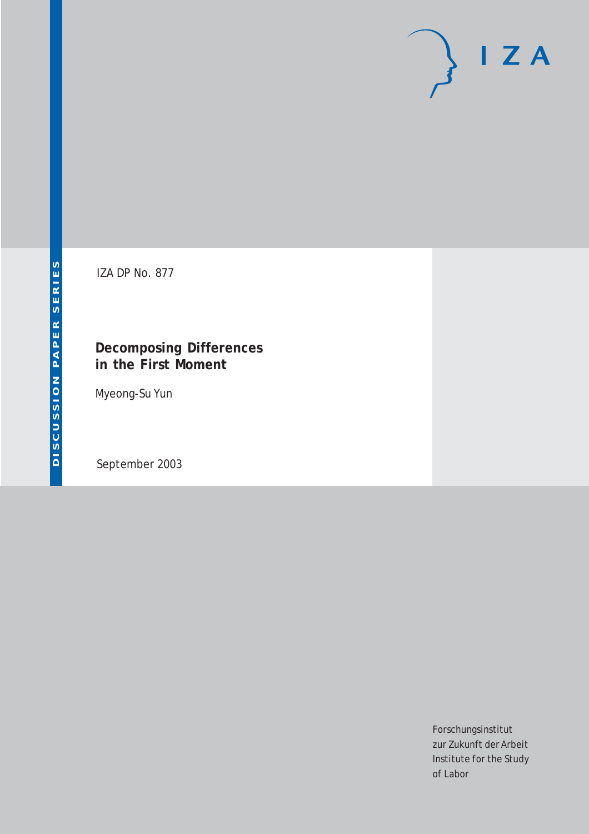# $I Z A$

IZA DP No. 877

#### **Decomposing Differences in the First Moment**

Myeong-Su Yun

September 2003

Forschungsinstitut zur Zukunft der Arbeit Institute for the Study of Labor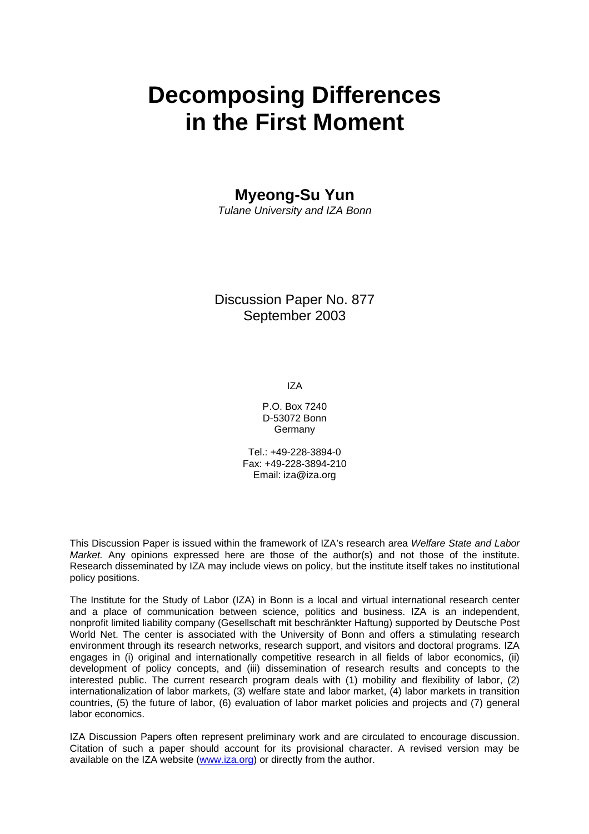# **Decomposing Differences in the First Moment**

**Myeong-Su Yun** 

*Tulane University and IZA Bonn* 

#### Discussion Paper No. 877 September 2003

IZA

P.O. Box 7240 D-53072 Bonn Germany

Tel.: +49-228-3894-0 Fax: +49-228-3894-210 Email: [iza@iza.org](mailto:iza@iza.org)

This Discussion Paper is issued within the framework of IZA's research area *Welfare State and Labor Market.* Any opinions expressed here are those of the author(s) and not those of the institute. Research disseminated by IZA may include views on policy, but the institute itself takes no institutional policy positions.

The Institute for the Study of Labor (IZA) in Bonn is a local and virtual international research center and a place of communication between science, politics and business. IZA is an independent, nonprofit limited liability company (Gesellschaft mit beschränkter Haftung) supported by Deutsche Post World Net. The center is associated with the University of Bonn and offers a stimulating research environment through its research networks, research support, and visitors and doctoral programs. IZA engages in (i) original and internationally competitive research in all fields of labor economics, (ii) development of policy concepts, and (iii) dissemination of research results and concepts to the interested public. The current research program deals with (1) mobility and flexibility of labor, (2) internationalization of labor markets, (3) welfare state and labor market, (4) labor markets in transition countries, (5) the future of labor, (6) evaluation of labor market policies and projects and (7) general labor economics.

IZA Discussion Papers often represent preliminary work and are circulated to encourage discussion. Citation of such a paper should account for its provisional character. A revised version may be available on the IZA website ([www.iza.org](http://www.iza.org/)) or directly from the author.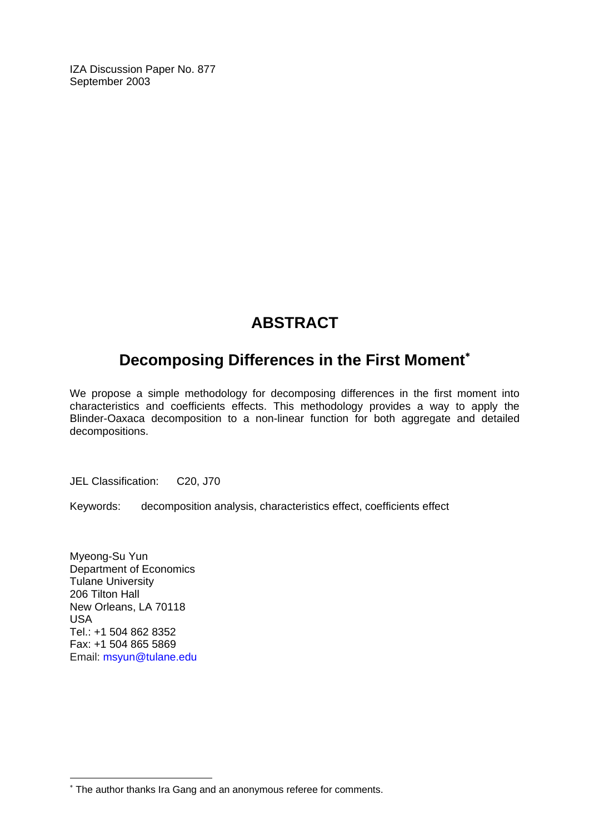IZA Discussion Paper No. 877 September 2003

## **ABSTRACT**

### **Decomposing Differences in the First Moment**[∗](#page-2-0)

We propose a simple methodology for decomposing differences in the first moment into characteristics and coefficients effects. This methodology provides a way to apply the Blinder-Oaxaca decomposition to a non-linear function for both aggregate and detailed decompositions.

JEL Classification: C20, J70

Keywords: decomposition analysis, characteristics effect, coefficients effect

Myeong-Su Yun Department of Economics Tulane University 206 Tilton Hall New Orleans, LA 70118 USA Tel.: +1 504 862 8352 Fax: +1 504 865 5869 Email: [msyun@tulane.edu](mailto:msyun@tulane.edu)

 $\overline{a}$ 

<span id="page-2-0"></span><sup>∗</sup> The author thanks Ira Gang and an anonymous referee for comments.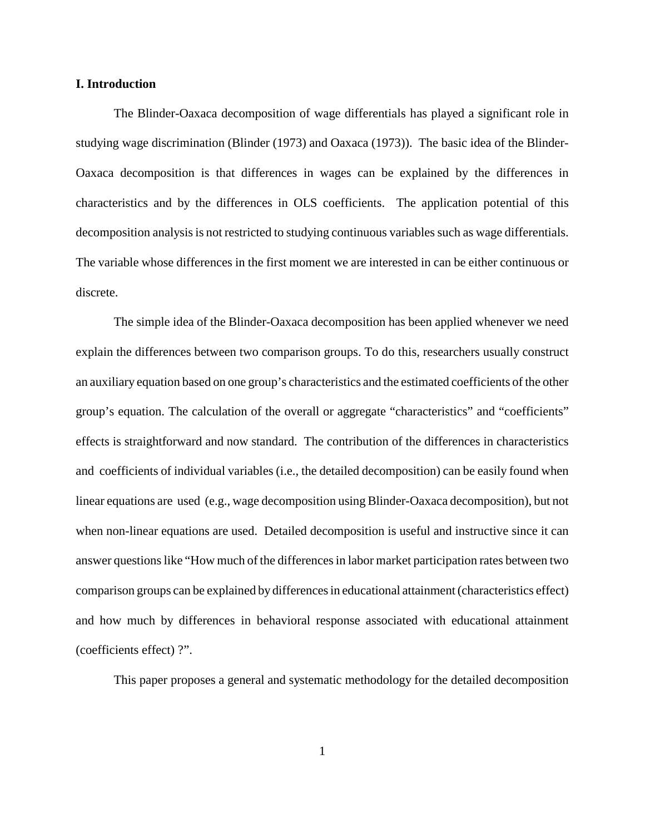#### **I. Introduction**

The Blinder-Oaxaca decomposition of wage differentials has played a significant role in studying wage discrimination (Blinder (1973) and Oaxaca (1973)). The basic idea of the Blinder-Oaxaca decomposition is that differences in wages can be explained by the differences in characteristics and by the differences in OLS coefficients. The application potential of this decomposition analysis is not restricted to studying continuous variables such as wage differentials. The variable whose differences in the first moment we are interested in can be either continuous or discrete.

The simple idea of the Blinder-Oaxaca decomposition has been applied whenever we need explain the differences between two comparison groups. To do this, researchers usually construct an auxiliary equation based on one group's characteristics and the estimated coefficients of the other group's equation. The calculation of the overall or aggregate "characteristics" and "coefficients" effects is straightforward and now standard. The contribution of the differences in characteristics and coefficients of individual variables (i.e., the detailed decomposition) can be easily found when linear equations are used (e.g., wage decomposition using Blinder-Oaxaca decomposition), but not when non-linear equations are used. Detailed decomposition is useful and instructive since it can answer questions like "How much of the differences in labor market participation rates between two comparison groups can be explained by differences in educational attainment (characteristics effect) and how much by differences in behavioral response associated with educational attainment (coefficients effect) ?".

This paper proposes a general and systematic methodology for the detailed decomposition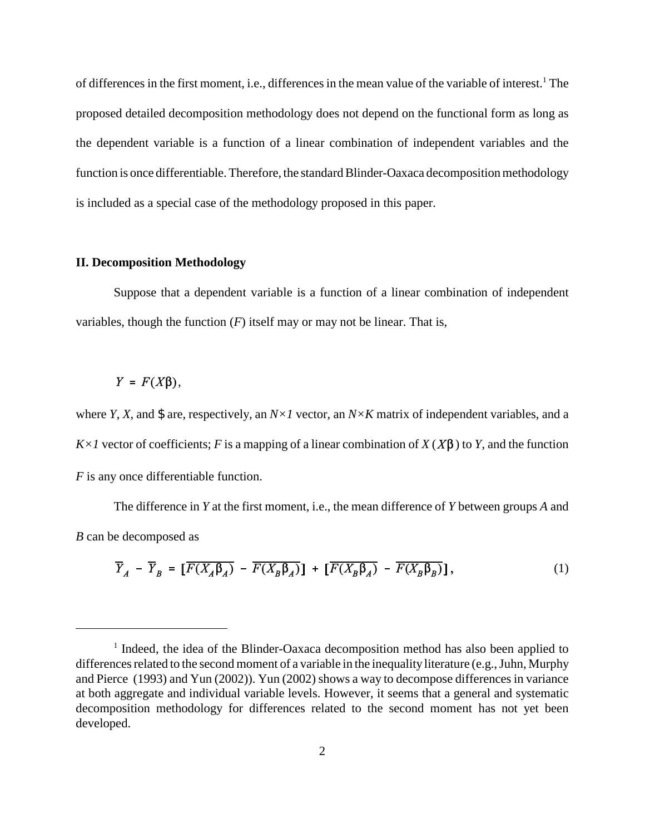of differences in the first moment, i.e., differences in the mean value of the variable of interest.<sup>1</sup> The proposed detailed decomposition methodology does not depend on the functional form as long as the dependent variable is a function of a linear combination of independent variables and the function is once differentiable. Therefore, the standard Blinder-Oaxaca decomposition methodology is included as a special case of the methodology proposed in this paper.

#### **II. Decomposition Methodology**

Suppose that a dependent variable is a function of a linear combination of independent variables, though the function  $(F)$  itself may or may not be linear. That is,

#### $Y = F(X\beta),$

where *Y*, *X*, and \$ are, respectively, an  $N \times I$  vector, an  $N \times K$  matrix of independent variables, and a  $K \times I$  vector of coefficients; *F* is a mapping of a linear combination of  $X(X\beta)$  to *Y*, and the function *F* is any once differentiable function.

The difference in *Y* at the first moment, i.e., the mean difference of *Y* between groups *A* and *B* can be decomposed as

$$
\overline{Y}_A - \overline{Y}_B = \left[ \overline{F(X_A \beta_A)} - \overline{F(X_B \beta_A)} \right] + \left[ \overline{F(X_B \beta_A)} - \overline{F(X_B \beta_B)} \right],\tag{1}
$$

<sup>&</sup>lt;sup>1</sup> Indeed, the idea of the Blinder-Oaxaca decomposition method has also been applied to differences related to the second moment of a variable in the inequality literature (e.g., Juhn, Murphy and Pierce (1993) and Yun (2002)). Yun (2002) shows a way to decompose differences in variance at both aggregate and individual variable levels. However, it seems that a general and systematic decomposition methodology for differences related to the second moment has not yet been developed.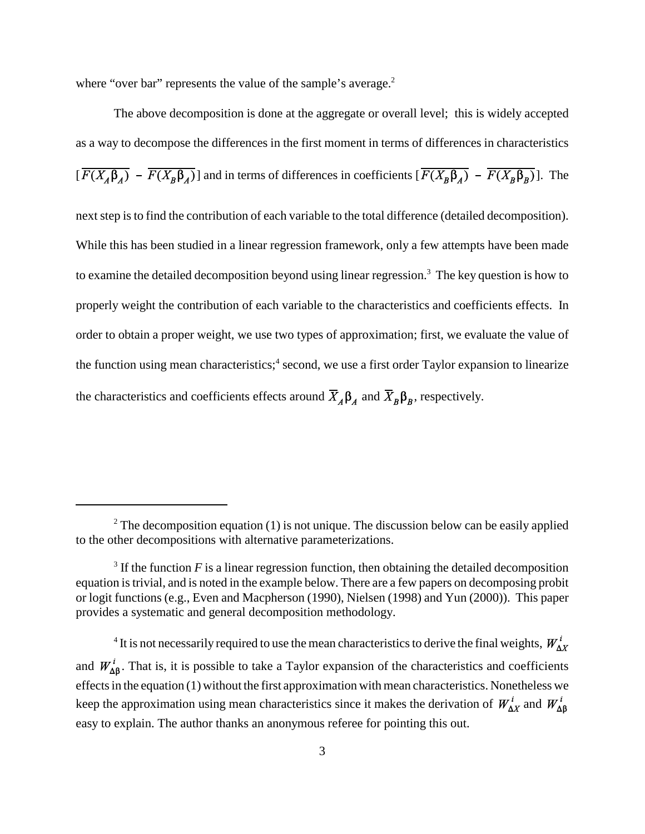where "over bar" represents the value of the sample's average.<sup>2</sup>

The above decomposition is done at the aggregate or overall level; this is widely accepted as a way to decompose the differences in the first moment in terms of differences in characteristics  $[\overline{F(X_A\beta_A)} - \overline{F(X_B\beta_A)}]$  and in terms of differences in coefficients  $[\overline{F(X_B\beta_A)} - \overline{F(X_B\beta_B)}]$ . The next step is to find the contribution of each variable to the total difference (detailed decomposition). While this has been studied in a linear regression framework, only a few attempts have been made to examine the detailed decomposition beyond using linear regression.<sup>3</sup> The key question is how to properly weight the contribution of each variable to the characteristics and coefficients effects. In order to obtain a proper weight, we use two types of approximation; first, we evaluate the value of the function using mean characteristics;<sup>4</sup> second, we use a first order Taylor expansion to linearize the characteristics and coefficients effects around  $\bar{X}_A \beta_A$  and  $\bar{X}_B \beta_B$ , respectively.

 $2^2$  The decomposition equation (1) is not unique. The discussion below can be easily applied to the other decompositions with alternative parameterizations.

 $3$  If the function  $F$  is a linear regression function, then obtaining the detailed decomposition equation is trivial, and is noted in the example below. There are a few papers on decomposing probit or logit functions (e.g., Even and Macpherson (1990), Nielsen (1998) and Yun (2000)). This paper provides a systematic and general decomposition methodology.

<sup>&</sup>lt;sup>4</sup> It is not necessarily required to use the mean characteristics to derive the final weights, and  $W_{\Delta\beta}^i$ . That is, it is possible to take a Taylor expansion of the characteristics and coefficients effects in the equation (1) without the first approximation with mean characteristics. Nonetheless we keep the approximation using mean characteristics since it makes the derivation of  $W_{\Delta X}^{i}$  and  $W_{\Delta \beta}^{i}$ easy to explain. The author thanks an anonymous referee for pointing this out.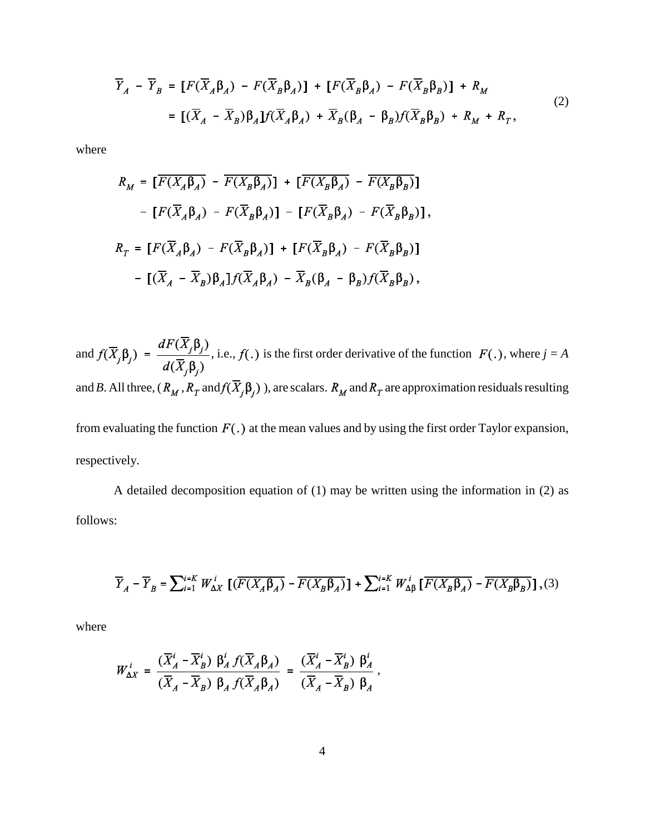$$
\overline{Y}_A - \overline{Y}_B = [F(\overline{X}_A \beta_A) - F(\overline{X}_B \beta_A)] + [F(\overline{X}_B \beta_A) - F(\overline{X}_B \beta_B)] + R_M
$$
  
\n
$$
= [(\overline{X}_A - \overline{X}_B)\beta_A]f(\overline{X}_A \beta_A) + \overline{X}_B(\beta_A - \beta_B)f(\overline{X}_B \beta_B) + R_M + R_T,
$$
\n(2)

where

$$
R_M = \left[ \overline{F(X_A \beta_A)} - \overline{F(X_B \beta_A)} \right] + \left[ \overline{F(X_B \beta_A)} - \overline{F(X_B \beta_B)} \right]
$$

$$
- \left[ F(\overline{X}_A \beta_A) - F(\overline{X}_B \beta_A) \right] - \left[ F(\overline{X}_B \beta_A) - F(\overline{X}_B \beta_B) \right],
$$

$$
R_T = \left[ F(\overline{X}_A \beta_A) - F(\overline{X}_B \beta_A) \right] + \left[ F(\overline{X}_B \beta_A) - F(\overline{X}_B \beta_B) \right]
$$

$$
- \left[ (\overline{X}_A - \overline{X}_B) \beta_A \right] f(\overline{X}_A \beta_A) - \overline{X}_B (\beta_A - \beta_B) f(\overline{X}_B \beta_B),
$$

and  $f(\overline{X}_j \beta_j) = \frac{dF(\overline{X}_j \beta_j)}{d(\overline{X}_j \beta_j)}$ , i.e.,  $f(.)$  is the first order derivative of the function  $F(.)$ , where  $j = A$ and *B*. All three,  $(R_M, R_T \text{ and } f(\overline{X}_j \beta_j))$ , are scalars.  $R_M$  and  $R_T$  are approximation residuals resulting from evaluating the function  $F(.)$  at the mean values and by using the first order Taylor expansion, respectively.

A detailed decomposition equation of (1) may be written using the information in (2) as follows:

$$
\overline{Y}_A - \overline{Y}_B = \sum_{i=1}^{i=K} W_{\Delta X}^i \left[ \left( \overline{F(X_A \beta_A)} - \overline{F(X_B \beta_A)} \right) + \sum_{i=1}^{i=K} W_{\Delta \beta}^i \left[ \overline{F(X_B \beta_A)} - \overline{F(X_B \beta_B)} \right], (3)
$$

where

$$
W_{\Delta X}^i = \frac{(\overline{X}_A^i - \overline{X}_B^i) \beta_A^i f(\overline{X}_A \beta_A)}{(\overline{X}_A - \overline{X}_B) \beta_A f(\overline{X}_A \beta_A)} = \frac{(\overline{X}_A^i - \overline{X}_B^i) \beta_A^i}{(\overline{X}_A - \overline{X}_B) \beta_A},
$$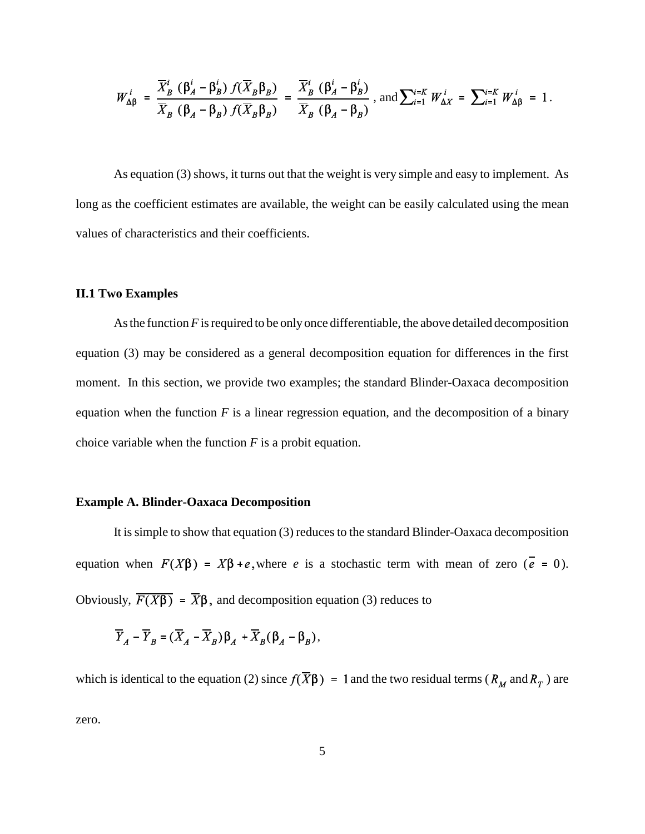$$
W_{\Delta\beta}^i = \frac{\overline{X}_B^i \left(\beta_A^i - \beta_B^i\right) f(\overline{X}_B \beta_B)}{\overline{X}_B \left(\beta_A - \beta_B\right) f(\overline{X}_B \beta_B)} = \frac{\overline{X}_B^i \left(\beta_A^i - \beta_B^i\right)}{\overline{X}_B \left(\beta_A - \beta_B\right)}, \text{ and } \sum_{i=1}^{i=K} W_{\Delta X}^i = \sum_{i=1}^{i=K} W_{\Delta\beta}^i = 1.
$$

As equation (3) shows, it turns out that the weight is very simple and easy to implement. As long as the coefficient estimates are available, the weight can be easily calculated using the mean values of characteristics and their coefficients.

#### **II.1 Two Examples**

As the function *F* is required to be only once differentiable, the above detailed decomposition equation (3) may be considered as a general decomposition equation for differences in the first moment. In this section, we provide two examples; the standard Blinder-Oaxaca decomposition equation when the function  $F$  is a linear regression equation, and the decomposition of a binary choice variable when the function *F* is a probit equation.

#### **Example A. Blinder-Oaxaca Decomposition**

It is simple to show that equation (3) reduces to the standard Blinder-Oaxaca decomposition equation when  $F(X\beta) = X\beta + e$ , where *e* is a stochastic term with mean of zero ( $\overline{e} = 0$ ). Obviously,  $\overline{F(X\beta)} = \overline{X}\beta$ , and decomposition equation (3) reduces to

$$
\overline{Y}_A - \overline{Y}_B = (\overline{X}_A - \overline{X}_B)\beta_A + \overline{X}_B(\beta_A - \beta_B),
$$

which is identical to the equation (2) since  $f(\overline{X}\beta) = 1$  and the two residual terms ( $R_M$  and  $R_T$ ) are zero.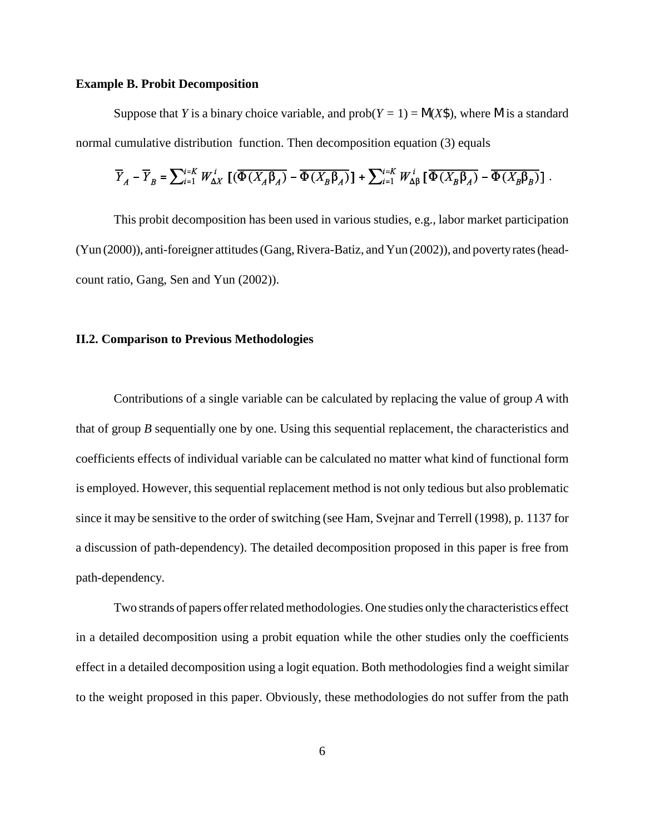#### **Example B. Probit Decomposition**

Suppose that *Y* is a binary choice variable, and  $prob(Y = 1) = N(X\$ {S}), where M is a standard normal cumulative distribution function. Then decomposition equation (3) equals

$$
\overline{Y}_A - \overline{Y}_B = \sum_{i=1}^{i=K} W_{\Delta X}^i \left[ \left( \overline{\Phi(X_A \beta_A)} - \overline{\Phi(X_B \beta_A)} \right] + \sum_{i=1}^{i=K} W_{\Delta \beta}^i \left[ \overline{\Phi(X_B \beta_A)} - \overline{\Phi(X_B \beta_B)} \right] \right].
$$

This probit decomposition has been used in various studies, e.g., labor market participation (Yun (2000)), anti-foreigner attitudes (Gang, Rivera-Batiz, and Yun (2002)), and poverty rates (headcount ratio, Gang, Sen and Yun (2002)).

#### **II.2. Comparison to Previous Methodologies**

Contributions of a single variable can be calculated by replacing the value of group *A* with that of group *B* sequentially one by one. Using this sequential replacement, the characteristics and coefficients effects of individual variable can be calculated no matter what kind of functional form is employed. However, this sequential replacement method is not only tedious but also problematic since it may be sensitive to the order of switching (see Ham, Svejnar and Terrell (1998), p. 1137 for a discussion of path-dependency). The detailed decomposition proposed in this paper is free from path-dependency.

Two strands of papers offer related methodologies. One studies only the characteristics effect in a detailed decomposition using a probit equation while the other studies only the coefficients effect in a detailed decomposition using a logit equation. Both methodologies find a weight similar to the weight proposed in this paper. Obviously, these methodologies do not suffer from the path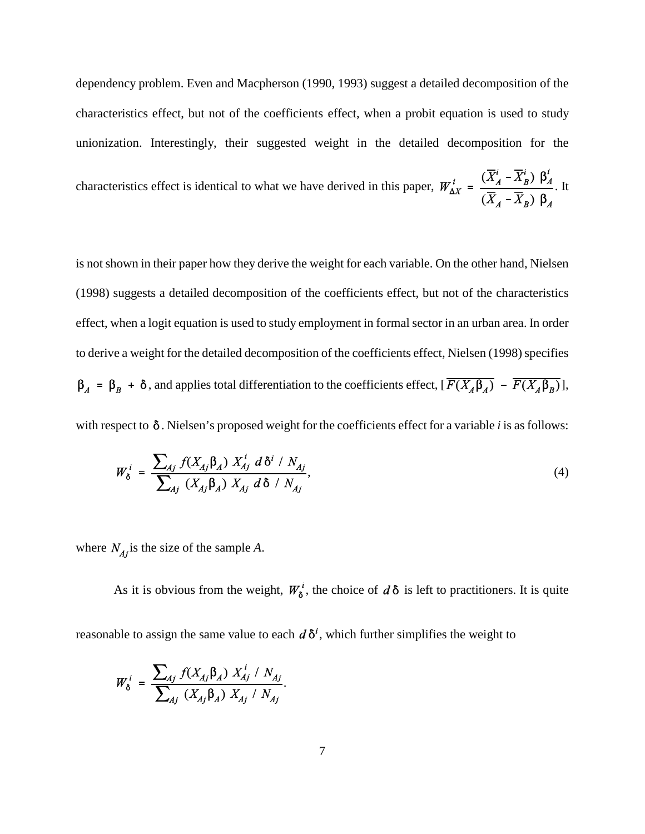dependency problem. Even and Macpherson (1990, 1993) suggest a detailed decomposition of the characteristics effect, but not of the coefficients effect, when a probit equation is used to study unionization. Interestingly, their suggested weight in the detailed decomposition for the

characteristics effect is identical to what we have derived in this paper,  $W_{\Delta X}^i = \frac{(\overline{X}_A^i - \overline{X}_B^i) \beta_A^i}{(\overline{X}_A - \overline{X}_B) \beta_A}$ . It

is not shown in their paper how they derive the weight for each variable. On the other hand, Nielsen (1998) suggests a detailed decomposition of the coefficients effect, but not of the characteristics effect, when a logit equation is used to study employment in formal sector in an urban area. In order to derive a weight for the detailed decomposition of the coefficients effect, Nielsen (1998) specifies  $\beta_A = \beta_B + \delta$ , and applies total differentiation to the coefficients effect,  $[\overline{F(X_A \beta_A)} - \overline{F(X_A \beta_B)}],$ 

with respect to  $\delta$ . Nielsen's proposed weight for the coefficients effect for a variable *i* is as follows:

$$
W_{\delta}^{i} = \frac{\sum_{Aj} f(X_{Aj} \beta_{A}) X_{Aj}^{i} d \delta^{i} / N_{Aj}}{\sum_{Aj} (X_{Aj} \beta_{A}) X_{Aj} d \delta / N_{Aj}},
$$
\n(4)

where  $N_{Ai}$  is the size of the sample *A*.

As it is obvious from the weight,  $W_{\delta}^{i}$ , the choice of  $d\delta$  is left to practitioners. It is quite reasonable to assign the same value to each  $d\delta^i$ , which further simplifies the weight to

$$
W_{\delta}^{i} = \frac{\sum_{Aj} f(X_{Aj} \beta_{A}) X_{Aj}^{i} / N_{Aj}}{\sum_{Aj} (X_{Aj} \beta_{A}) X_{Aj} / N_{Aj}}.
$$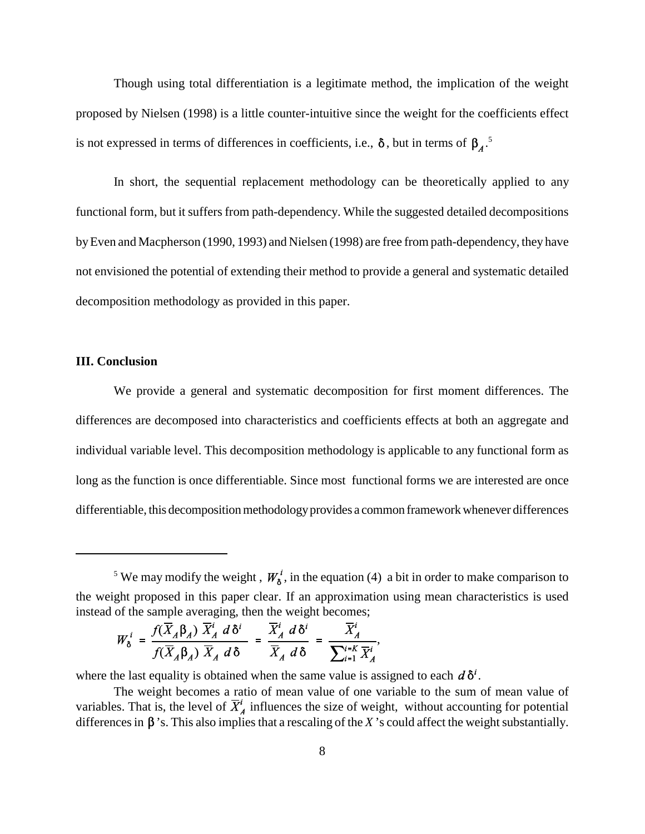Though using total differentiation is a legitimate method, the implication of the weight proposed by Nielsen (1998) is a little counter-intuitive since the weight for the coefficients effect is not expressed in terms of differences in coefficients, i.e.,  $\delta$ , but in terms of  $\beta_4$ .<sup>5</sup>

In short, the sequential replacement methodology can be theoretically applied to any functional form, but it suffers from path-dependency. While the suggested detailed decompositions by Even and Macpherson (1990, 1993) and Nielsen (1998) are free from path-dependency, they have not envisioned the potential of extending their method to provide a general and systematic detailed decomposition methodology as provided in this paper.

#### **III. Conclusion**

We provide a general and systematic decomposition for first moment differences. The differences are decomposed into characteristics and coefficients effects at both an aggregate and individual variable level. This decomposition methodology is applicable to any functional form as long as the function is once differentiable. Since most functional forms we are interested are once differentiable, this decomposition methodology provides a common framework whenever differences

$$
W_{\delta}^{i} = \frac{f(\overline{X}_{A}\beta_{A}) \ \overline{X}_{A}^{i} d\delta^{i}}{f(\overline{X}_{A}\beta_{A}) \ \overline{X}_{A} d\delta} = \frac{\overline{X}_{A}^{i} d\delta^{i}}{\overline{X}_{A} d\delta} = \frac{\overline{X}_{A}^{i}}{\sum_{i=1}^{i=K} \overline{X}_{A}^{i}},
$$

where the last equality is obtained when the same value is assigned to each  $d\delta^i$ .

<sup>&</sup>lt;sup>5</sup> We may modify the weight,  $W_{\delta}^{i}$ , in the equation (4) a bit in order to make comparison to the weight proposed in this paper clear. If an approximation using mean characteristics is used instead of the sample averaging, then the weight becomes;

The weight becomes a ratio of mean value of one variable to the sum of mean value of variables. That is, the level of  $\overline{X}_A^i$  influences the size of weight, without accounting for potential differences in  $\beta$ 's. This also implies that a rescaling of the *X*'s could affect the weight substantially.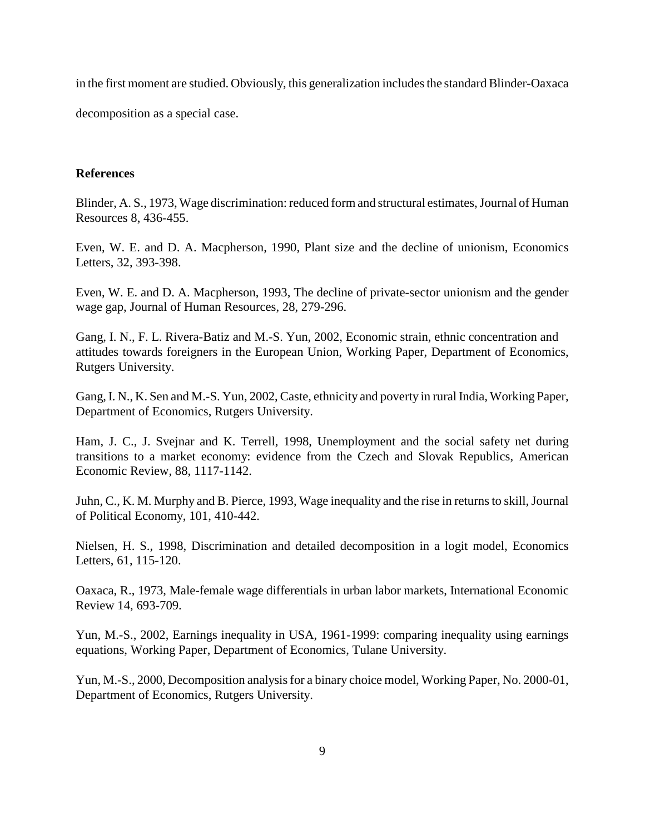in the first moment are studied. Obviously, this generalization includes the standard Blinder-Oaxaca

decomposition as a special case.

#### **References**

Blinder, A. S., 1973, Wage discrimination: reduced form and structural estimates, Journal of Human Resources 8, 436-455.

Even, W. E. and D. A. Macpherson, 1990, Plant size and the decline of unionism, Economics Letters, 32, 393-398.

Even, W. E. and D. A. Macpherson, 1993, The decline of private-sector unionism and the gender wage gap, Journal of Human Resources, 28, 279-296.

Gang, I. N., F. L. Rivera-Batiz and M.-S. Yun, 2002, Economic strain, ethnic concentration and attitudes towards foreigners in the European Union, Working Paper, Department of Economics, Rutgers University.

Gang, I. N., K. Sen and M.-S. Yun, 2002, Caste, ethnicity and poverty in rural India, Working Paper, Department of Economics, Rutgers University.

Ham, J. C., J. Svejnar and K. Terrell, 1998, Unemployment and the social safety net during transitions to a market economy: evidence from the Czech and Slovak Republics, American Economic Review, 88, 1117-1142.

Juhn, C., K. M. Murphy and B. Pierce, 1993, Wage inequality and the rise in returns to skill, Journal of Political Economy, 101, 410-442.

Nielsen, H. S., 1998, Discrimination and detailed decomposition in a logit model, Economics Letters, 61, 115-120.

Oaxaca, R., 1973, Male-female wage differentials in urban labor markets, International Economic Review 14, 693-709.

Yun, M.-S., 2002, Earnings inequality in USA, 1961-1999: comparing inequality using earnings equations, Working Paper, Department of Economics, Tulane University.

Yun, M.-S., 2000, Decomposition analysis for a binary choice model, Working Paper, No. 2000-01, Department of Economics, Rutgers University.